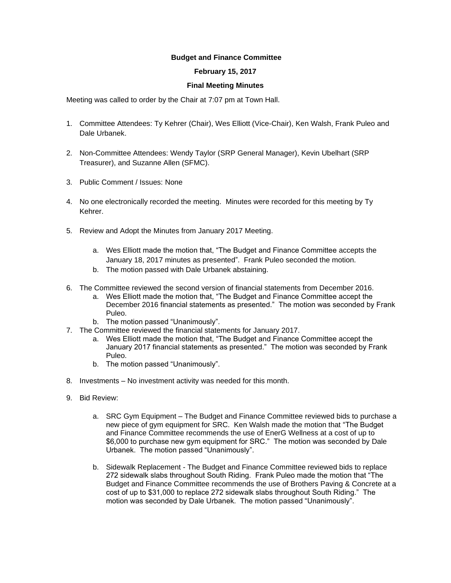## **Budget and Finance Committee**

## **February 15, 2017**

## **Final Meeting Minutes**

Meeting was called to order by the Chair at 7:07 pm at Town Hall.

- 1. Committee Attendees: Ty Kehrer (Chair), Wes Elliott (Vice-Chair), Ken Walsh, Frank Puleo and Dale Urbanek.
- 2. Non-Committee Attendees: Wendy Taylor (SRP General Manager), Kevin Ubelhart (SRP Treasurer), and Suzanne Allen (SFMC).
- 3. Public Comment / Issues: None
- 4. No one electronically recorded the meeting. Minutes were recorded for this meeting by Ty Kehrer.
- 5. Review and Adopt the Minutes from January 2017 Meeting.
	- a. Wes Elliott made the motion that, "The Budget and Finance Committee accepts the January 18, 2017 minutes as presented". Frank Puleo seconded the motion.
	- b. The motion passed with Dale Urbanek abstaining.
- 6. The Committee reviewed the second version of financial statements from December 2016.
	- a. Wes Elliott made the motion that, "The Budget and Finance Committee accept the December 2016 financial statements as presented." The motion was seconded by Frank Puleo.
	- b. The motion passed "Unanimously".
- 7. The Committee reviewed the financial statements for January 2017.
	- a. Wes Elliott made the motion that, "The Budget and Finance Committee accept the January 2017 financial statements as presented." The motion was seconded by Frank Puleo.
	- b. The motion passed "Unanimously".
- 8. Investments No investment activity was needed for this month.
- 9. Bid Review:
	- a. SRC Gym Equipment The Budget and Finance Committee reviewed bids to purchase a new piece of gym equipment for SRC. Ken Walsh made the motion that "The Budget and Finance Committee recommends the use of EnerG Wellness at a cost of up to \$6,000 to purchase new gym equipment for SRC." The motion was seconded by Dale Urbanek. The motion passed "Unanimously".
	- b. Sidewalk Replacement The Budget and Finance Committee reviewed bids to replace 272 sidewalk slabs throughout South Riding. Frank Puleo made the motion that "The Budget and Finance Committee recommends the use of Brothers Paving & Concrete at a cost of up to \$31,000 to replace 272 sidewalk slabs throughout South Riding." The motion was seconded by Dale Urbanek. The motion passed "Unanimously".